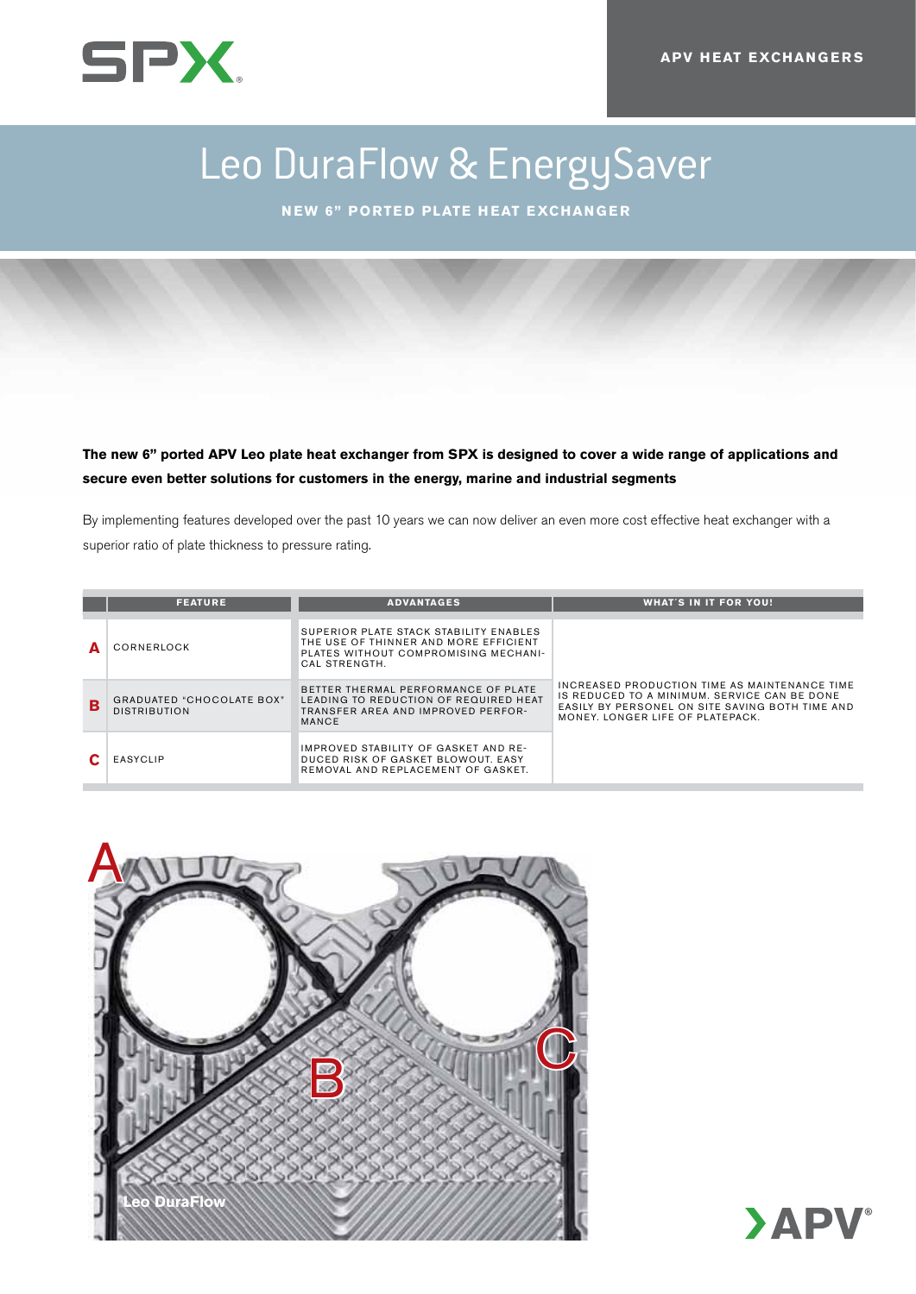

# Leo DuraFlow & EnergySaver

**New 6" ported plate heat exchanger**

**The new 6" ported APV Leo plate heat exchanger from SPX is designed to cover a wide range of applications and secure even better solutions for customers in the energy, marine and industrial segments**

By implementing features developed over the past 10 years we can now deliver an even more cost effective heat exchanger with a superior ratio of plate thickness to pressure rating.

|   | <b>FEATURE</b>                                          | <b>ADVANTAGES</b>                                                                                                                        | <b>WHAT'S IN IT FOR YOU!</b>                                                                                                                                                         |
|---|---------------------------------------------------------|------------------------------------------------------------------------------------------------------------------------------------------|--------------------------------------------------------------------------------------------------------------------------------------------------------------------------------------|
|   |                                                         |                                                                                                                                          |                                                                                                                                                                                      |
|   | CORNERLOCK                                              | SUPERIOR PLATE STACK STABILITY ENABLES<br>THE USE OF THINNER AND MORE EFFICIENT<br>PLATES WITHOUT COMPROMISING MECHANI-<br>CAL STRENGTH. | INCREASED PRODUCTION TIME AS MAINTENANCE TIME<br>IS REDUCED TO A MINIMUM. SERVICE CAN BE DONE<br>EASILY BY PERSONEL ON SITE SAVING BOTH TIME AND<br>MONEY, LONGER LIFE OF PLATEPACK. |
| B | <b>GRADUATED "CHOCOLATE BOX"</b><br><b>DISTRIBUTION</b> | BETTER THERMAL PERFORMANCE OF PLATE<br>LEADING TO REDUCTION OF REQUIRED HEAT<br>TRANSFER AREA AND IMPROVED PERFOR-<br>MANCE              |                                                                                                                                                                                      |
|   | <b>EASYCLIP</b>                                         | IMPROVED STABILITY OF GASKET AND RE-<br>DUCED RISK OF GASKET BLOWOUT. EASY<br>REMOVAL AND REPLACEMENT OF GASKET.                         |                                                                                                                                                                                      |